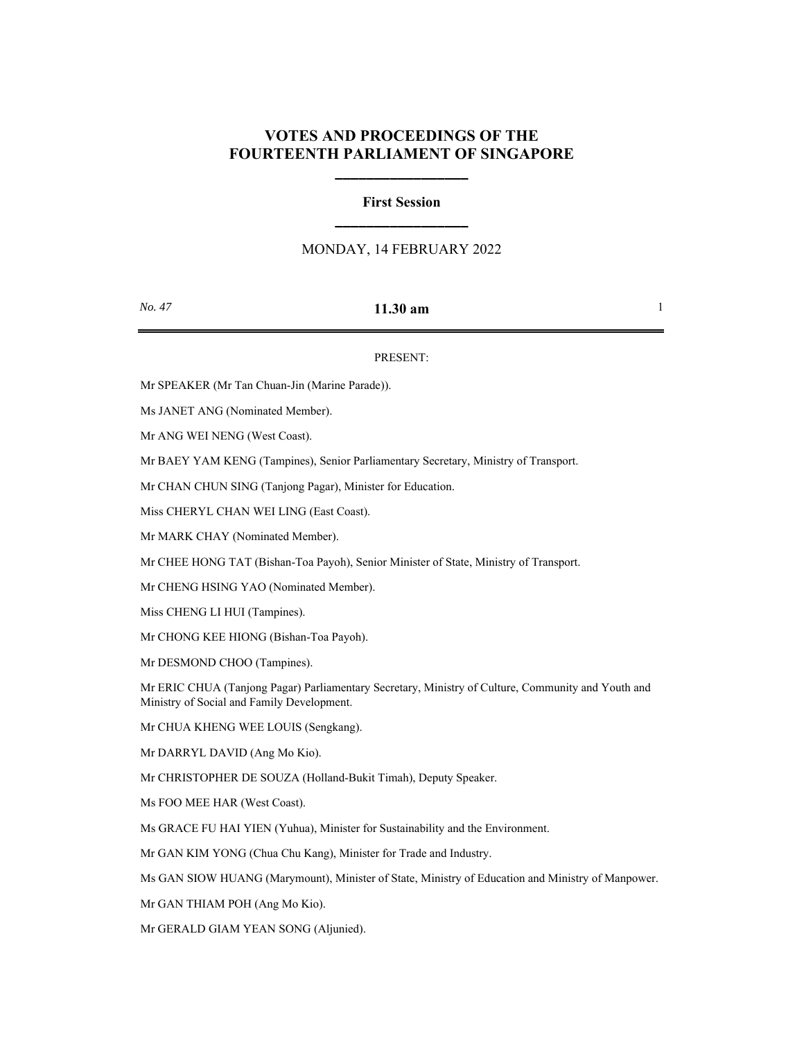## **VOTES AND PROCEEDINGS OF THE FOURTEENTH PARLIAMENT OF SINGAPORE**

**\_\_\_\_\_\_\_\_\_\_\_\_\_\_\_\_\_**

# **First Session \_\_\_\_\_\_\_\_\_\_\_\_\_\_\_\_\_**

## MONDAY, 14 FEBRUARY 2022

### *No. 47* **11.30 am** 1

### PRESENT:

Mr SPEAKER (Mr Tan Chuan-Jin (Marine Parade)).

Ms JANET ANG (Nominated Member).

Mr ANG WEI NENG (West Coast).

Mr BAEY YAM KENG (Tampines), Senior Parliamentary Secretary, Ministry of Transport.

Mr CHAN CHUN SING (Tanjong Pagar), Minister for Education.

Miss CHERYL CHAN WEI LING (East Coast).

Mr MARK CHAY (Nominated Member).

Mr CHEE HONG TAT (Bishan-Toa Payoh), Senior Minister of State, Ministry of Transport.

Mr CHENG HSING YAO (Nominated Member).

Miss CHENG LI HUI (Tampines).

Mr CHONG KEE HIONG (Bishan-Toa Payoh).

Mr DESMOND CHOO (Tampines).

Mr ERIC CHUA (Tanjong Pagar) Parliamentary Secretary, Ministry of Culture, Community and Youth and Ministry of Social and Family Development.

Mr CHUA KHENG WEE LOUIS (Sengkang).

Mr DARRYL DAVID (Ang Mo Kio).

Mr CHRISTOPHER DE SOUZA (Holland-Bukit Timah), Deputy Speaker.

Ms FOO MEE HAR (West Coast).

Ms GRACE FU HAI YIEN (Yuhua), Minister for Sustainability and the Environment.

Mr GAN KIM YONG (Chua Chu Kang), Minister for Trade and Industry.

Ms GAN SIOW HUANG (Marymount), Minister of State, Ministry of Education and Ministry of Manpower.

Mr GAN THIAM POH (Ang Mo Kio).

Mr GERALD GIAM YEAN SONG (Aljunied).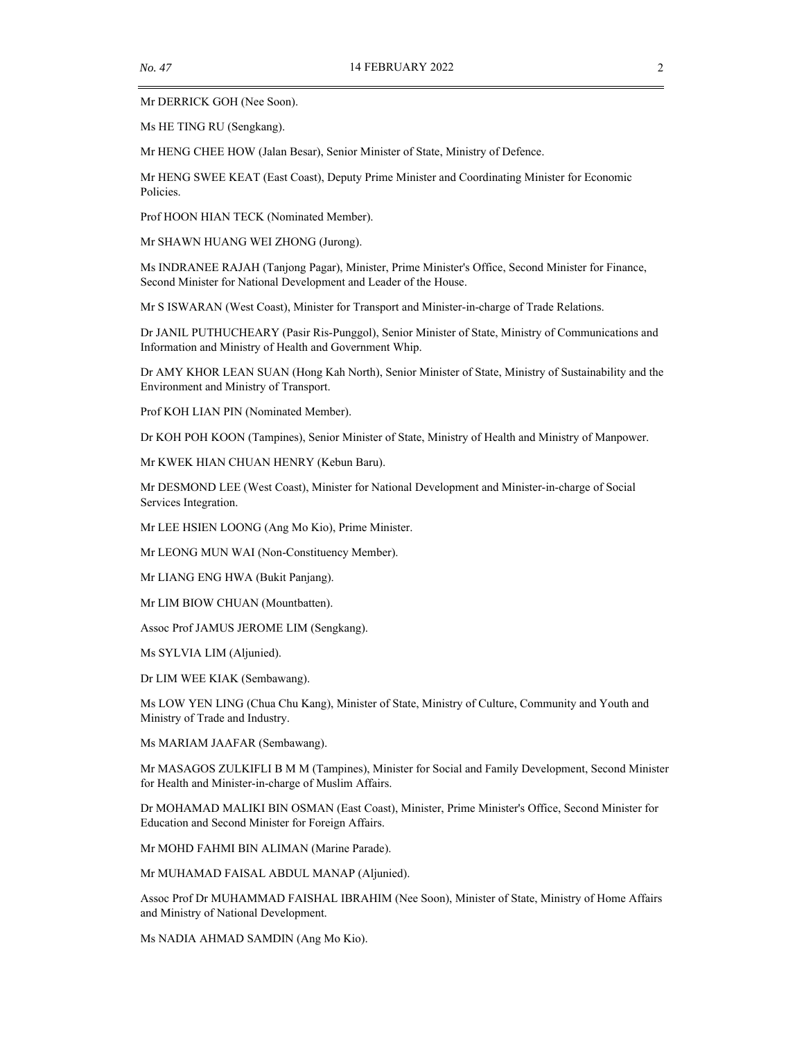Mr DERRICK GOH (Nee Soon).

Ms HE TING RU (Sengkang).

Mr HENG CHEE HOW (Jalan Besar), Senior Minister of State, Ministry of Defence.

Mr HENG SWEE KEAT (East Coast), Deputy Prime Minister and Coordinating Minister for Economic Policies.

Prof HOON HIAN TECK (Nominated Member).

Mr SHAWN HUANG WEI ZHONG (Jurong).

Ms INDRANEE RAJAH (Tanjong Pagar), Minister, Prime Minister's Office, Second Minister for Finance, Second Minister for National Development and Leader of the House.

Mr S ISWARAN (West Coast), Minister for Transport and Minister-in-charge of Trade Relations.

Dr JANIL PUTHUCHEARY (Pasir Ris-Punggol), Senior Minister of State, Ministry of Communications and Information and Ministry of Health and Government Whip.

Dr AMY KHOR LEAN SUAN (Hong Kah North), Senior Minister of State, Ministry of Sustainability and the Environment and Ministry of Transport.

Prof KOH LIAN PIN (Nominated Member).

Dr KOH POH KOON (Tampines), Senior Minister of State, Ministry of Health and Ministry of Manpower.

Mr KWEK HIAN CHUAN HENRY (Kebun Baru).

Mr DESMOND LEE (West Coast), Minister for National Development and Minister-in-charge of Social Services Integration.

Mr LEE HSIEN LOONG (Ang Mo Kio), Prime Minister.

Mr LEONG MUN WAI (Non-Constituency Member).

Mr LIANG ENG HWA (Bukit Panjang).

Mr LIM BIOW CHUAN (Mountbatten).

Assoc Prof JAMUS JEROME LIM (Sengkang).

Ms SYLVIA LIM (Aljunied).

Dr LIM WEE KIAK (Sembawang).

Ms LOW YEN LING (Chua Chu Kang), Minister of State, Ministry of Culture, Community and Youth and Ministry of Trade and Industry.

Ms MARIAM JAAFAR (Sembawang).

Mr MASAGOS ZULKIFLI B M M (Tampines), Minister for Social and Family Development, Second Minister for Health and Minister-in-charge of Muslim Affairs.

Dr MOHAMAD MALIKI BIN OSMAN (East Coast), Minister, Prime Minister's Office, Second Minister for Education and Second Minister for Foreign Affairs.

Mr MOHD FAHMI BIN ALIMAN (Marine Parade).

Mr MUHAMAD FAISAL ABDUL MANAP (Aljunied).

Assoc Prof Dr MUHAMMAD FAISHAL IBRAHIM (Nee Soon), Minister of State, Ministry of Home Affairs and Ministry of National Development.

Ms NADIA AHMAD SAMDIN (Ang Mo Kio).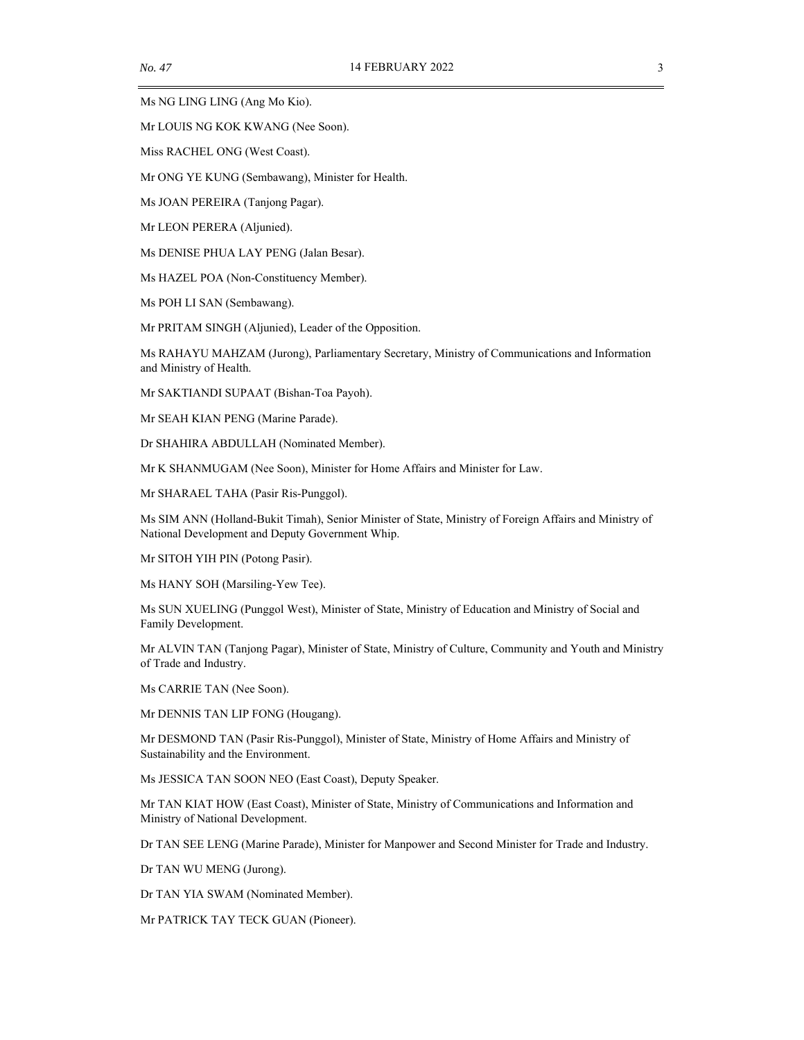Ms NG LING LING (Ang Mo Kio).

Mr LOUIS NG KOK KWANG (Nee Soon).

Miss RACHEL ONG (West Coast).

Mr ONG YE KUNG (Sembawang), Minister for Health.

Ms JOAN PEREIRA (Tanjong Pagar).

Mr LEON PERERA (Aljunied).

Ms DENISE PHUA LAY PENG (Jalan Besar).

Ms HAZEL POA (Non-Constituency Member).

Ms POH LI SAN (Sembawang).

Mr PRITAM SINGH (Aljunied), Leader of the Opposition.

Ms RAHAYU MAHZAM (Jurong), Parliamentary Secretary, Ministry of Communications and Information and Ministry of Health.

Mr SAKTIANDI SUPAAT (Bishan-Toa Payoh).

Mr SEAH KIAN PENG (Marine Parade).

Dr SHAHIRA ABDULLAH (Nominated Member).

Mr K SHANMUGAM (Nee Soon), Minister for Home Affairs and Minister for Law.

Mr SHARAEL TAHA (Pasir Ris-Punggol).

Ms SIM ANN (Holland-Bukit Timah), Senior Minister of State, Ministry of Foreign Affairs and Ministry of National Development and Deputy Government Whip.

Mr SITOH YIH PIN (Potong Pasir).

Ms HANY SOH (Marsiling-Yew Tee).

Ms SUN XUELING (Punggol West), Minister of State, Ministry of Education and Ministry of Social and Family Development.

Mr ALVIN TAN (Tanjong Pagar), Minister of State, Ministry of Culture, Community and Youth and Ministry of Trade and Industry.

Ms CARRIE TAN (Nee Soon).

Mr DENNIS TAN LIP FONG (Hougang).

Mr DESMOND TAN (Pasir Ris-Punggol), Minister of State, Ministry of Home Affairs and Ministry of Sustainability and the Environment.

Ms JESSICA TAN SOON NEO (East Coast), Deputy Speaker.

Mr TAN KIAT HOW (East Coast), Minister of State, Ministry of Communications and Information and Ministry of National Development.

Dr TAN SEE LENG (Marine Parade), Minister for Manpower and Second Minister for Trade and Industry.

Dr TAN WU MENG (Jurong).

Dr TAN YIA SWAM (Nominated Member).

Mr PATRICK TAY TECK GUAN (Pioneer).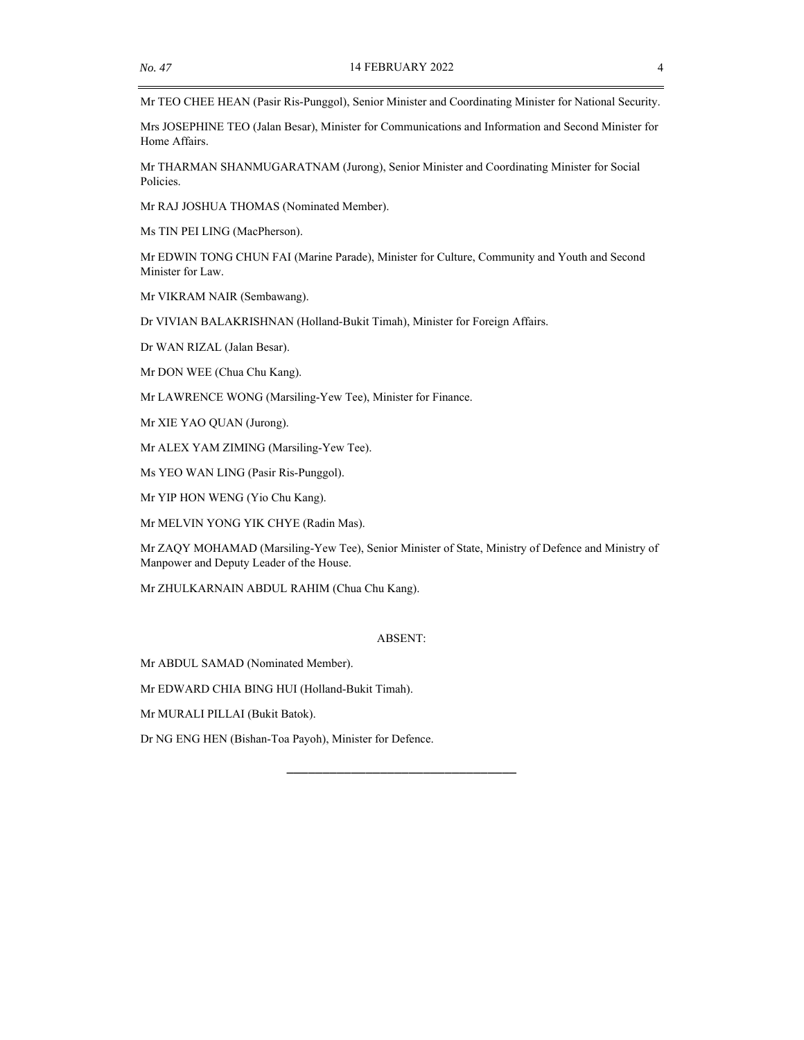Mr TEO CHEE HEAN (Pasir Ris-Punggol), Senior Minister and Coordinating Minister for National Security.

Mrs JOSEPHINE TEO (Jalan Besar), Minister for Communications and Information and Second Minister for Home Affairs.

Mr THARMAN SHANMUGARATNAM (Jurong), Senior Minister and Coordinating Minister for Social Policies.

Mr RAJ JOSHUA THOMAS (Nominated Member).

Ms TIN PEI LING (MacPherson).

Mr EDWIN TONG CHUN FAI (Marine Parade), Minister for Culture, Community and Youth and Second Minister for Law.

Mr VIKRAM NAIR (Sembawang).

Dr VIVIAN BALAKRISHNAN (Holland-Bukit Timah), Minister for Foreign Affairs.

Dr WAN RIZAL (Jalan Besar).

Mr DON WEE (Chua Chu Kang).

Mr LAWRENCE WONG (Marsiling-Yew Tee), Minister for Finance.

Mr XIE YAO QUAN (Jurong).

Mr ALEX YAM ZIMING (Marsiling-Yew Tee).

Ms YEO WAN LING (Pasir Ris-Punggol).

Mr YIP HON WENG (Yio Chu Kang).

Mr MELVIN YONG YIK CHYE (Radin Mas).

Mr ZAQY MOHAMAD (Marsiling-Yew Tee), Senior Minister of State, Ministry of Defence and Ministry of Manpower and Deputy Leader of the House.

Mr ZHULKARNAIN ABDUL RAHIM (Chua Chu Kang).

#### ABSENT:

\_\_\_\_\_\_\_\_\_\_\_\_\_\_\_\_\_\_\_\_\_\_\_\_\_\_\_\_\_\_\_\_

Mr ABDUL SAMAD (Nominated Member).

Mr EDWARD CHIA BING HUI (Holland-Bukit Timah).

Mr MURALI PILLAI (Bukit Batok).

Dr NG ENG HEN (Bishan-Toa Payoh), Minister for Defence.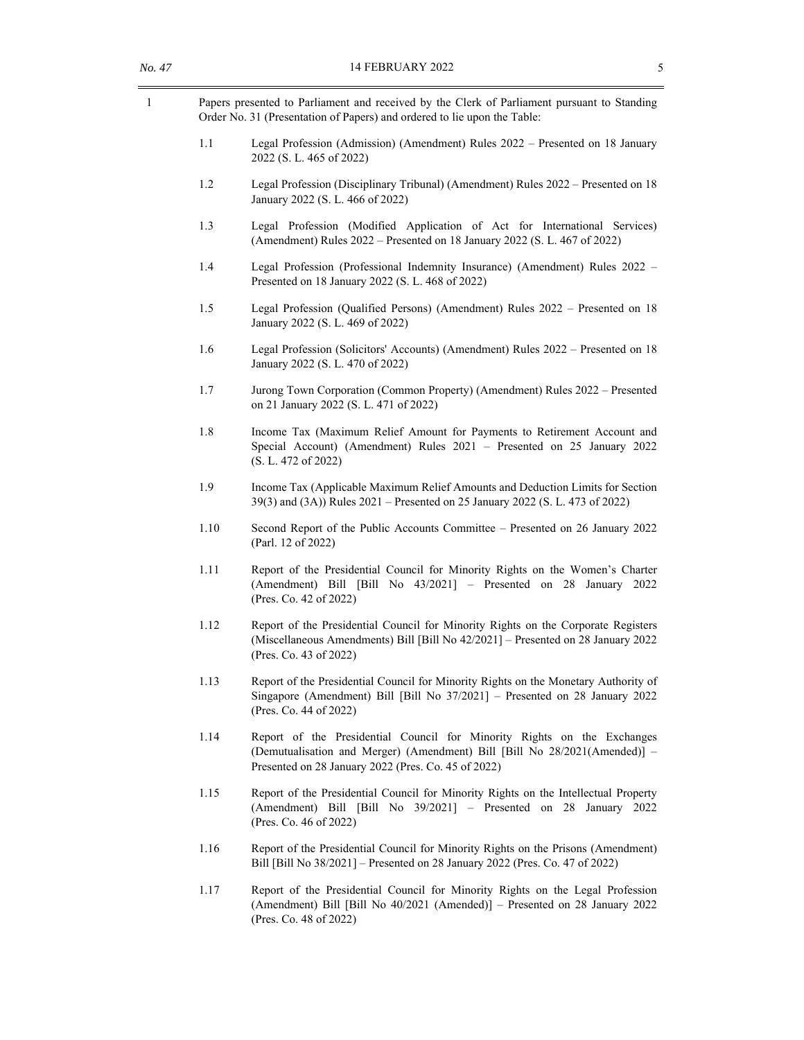| Papers presented to Parliament and received by the Clerk of Parliament pursuant to Standing |
|---------------------------------------------------------------------------------------------|
| Order No. 31 (Presentation of Papers) and ordered to lie upon the Table:                    |

- 1.1 Legal Profession (Admission) (Amendment) Rules 2022 Presented on 18 January 2022 (S. L. 465 of 2022)
- 1.2 Legal Profession (Disciplinary Tribunal) (Amendment) Rules 2022 Presented on 18 January 2022 (S. L. 466 of 2022)
- 1.3 Legal Profession (Modified Application of Act for International Services) (Amendment) Rules 2022 – Presented on 18 January 2022 (S. L. 467 of 2022)
- 1.4 Legal Profession (Professional Indemnity Insurance) (Amendment) Rules 2022 Presented on 18 January 2022 (S. L. 468 of 2022)
- 1.5 Legal Profession (Qualified Persons) (Amendment) Rules 2022 Presented on 18 January 2022 (S. L. 469 of 2022)
- 1.6 Legal Profession (Solicitors' Accounts) (Amendment) Rules 2022 Presented on 18 January 2022 (S. L. 470 of 2022)
- 1.7 Jurong Town Corporation (Common Property) (Amendment) Rules 2022 Presented on 21 January 2022 (S. L. 471 of 2022)
- 1.8 Income Tax (Maximum Relief Amount for Payments to Retirement Account and Special Account) (Amendment) Rules 2021 – Presented on 25 January 2022 (S. L. 472 of 2022)
- 1.9 Income Tax (Applicable Maximum Relief Amounts and Deduction Limits for Section 39(3) and (3A)) Rules 2021 – Presented on 25 January 2022 (S. L. 473 of 2022)
- 1.10 Second Report of the Public Accounts Committee Presented on 26 January 2022 (Parl. 12 of 2022)
- 1.11 Report of the Presidential Council for Minority Rights on the Women's Charter (Amendment) Bill [Bill No 43/2021] – Presented on 28 January 2022 (Pres. Co. 42 of 2022)
- 1.12 Report of the Presidential Council for Minority Rights on the Corporate Registers (Miscellaneous Amendments) Bill [Bill No 42/2021] – Presented on 28 January 2022 (Pres. Co. 43 of 2022)
- 1.13 Report of the Presidential Council for Minority Rights on the Monetary Authority of Singapore (Amendment) Bill [Bill No 37/2021] – Presented on 28 January 2022 (Pres. Co. 44 of 2022)
- 1.14 Report of the Presidential Council for Minority Rights on the Exchanges (Demutualisation and Merger) (Amendment) Bill [Bill No 28/2021(Amended)] – Presented on 28 January 2022 (Pres. Co. 45 of 2022)
- 1.15 Report of the Presidential Council for Minority Rights on the Intellectual Property (Amendment) Bill [Bill No 39/2021] – Presented on 28 January 2022 (Pres. Co. 46 of 2022)
- 1.16 Report of the Presidential Council for Minority Rights on the Prisons (Amendment) Bill [Bill No 38/2021] – Presented on 28 January 2022 (Pres. Co. 47 of 2022)
- 1.17 Report of the Presidential Council for Minority Rights on the Legal Profession (Amendment) Bill [Bill No 40/2021 (Amended)] – Presented on 28 January 2022 (Pres. Co. 48 of 2022)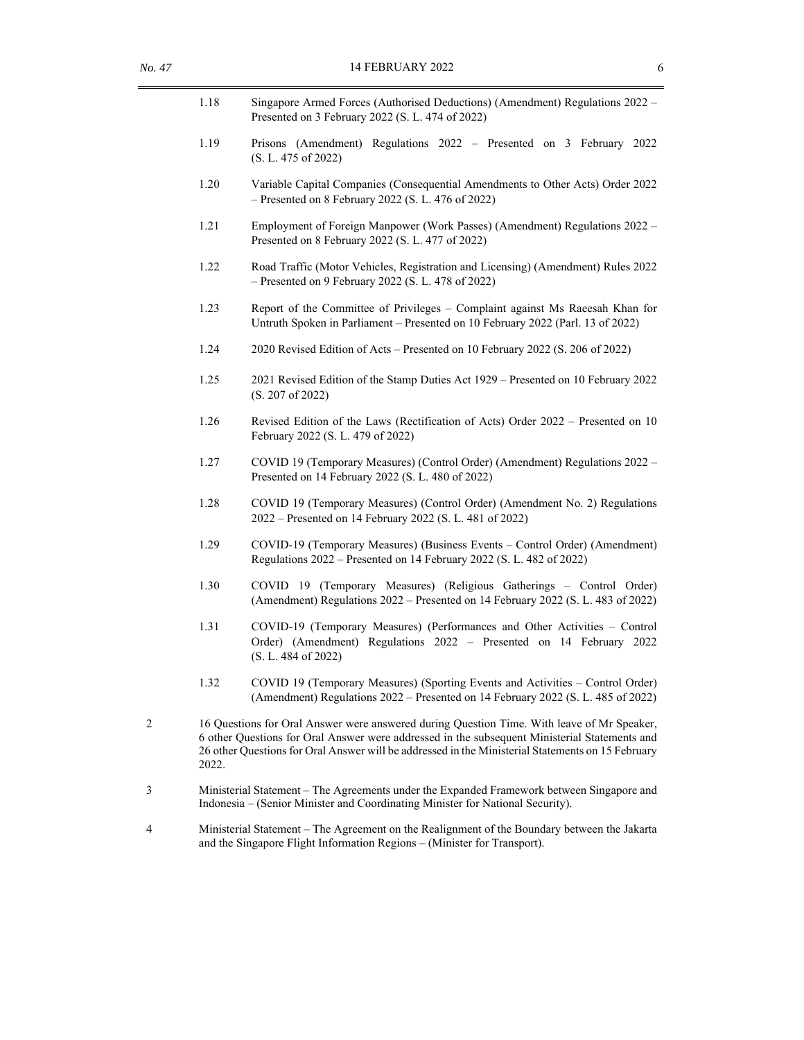|   | 1.18                                                                                                                                                                                                                                                                                                      | Singapore Armed Forces (Authorised Deductions) (Amendment) Regulations 2022 -<br>Presented on 3 February 2022 (S. L. 474 of 2022)                                           |
|---|-----------------------------------------------------------------------------------------------------------------------------------------------------------------------------------------------------------------------------------------------------------------------------------------------------------|-----------------------------------------------------------------------------------------------------------------------------------------------------------------------------|
|   | 1.19                                                                                                                                                                                                                                                                                                      | Prisons (Amendment) Regulations 2022 - Presented on 3 February 2022<br>(S. L. 475 of 2022)                                                                                  |
|   | 1.20                                                                                                                                                                                                                                                                                                      | Variable Capital Companies (Consequential Amendments to Other Acts) Order 2022<br>$-$ Presented on 8 February 2022 (S. L. 476 of 2022)                                      |
|   | 1.21                                                                                                                                                                                                                                                                                                      | Employment of Foreign Manpower (Work Passes) (Amendment) Regulations 2022 -<br>Presented on 8 February 2022 (S. L. 477 of 2022)                                             |
|   | 1.22                                                                                                                                                                                                                                                                                                      | Road Traffic (Motor Vehicles, Registration and Licensing) (Amendment) Rules 2022<br>$-$ Presented on 9 February 2022 (S. L. 478 of 2022)                                    |
|   | 1.23                                                                                                                                                                                                                                                                                                      | Report of the Committee of Privileges - Complaint against Ms Raeesah Khan for<br>Untruth Spoken in Parliament - Presented on 10 February 2022 (Parl. 13 of 2022)            |
|   | 1.24                                                                                                                                                                                                                                                                                                      | 2020 Revised Edition of Acts - Presented on 10 February 2022 (S. 206 of 2022)                                                                                               |
|   | 1.25                                                                                                                                                                                                                                                                                                      | 2021 Revised Edition of the Stamp Duties Act 1929 - Presented on 10 February 2022<br>(S. 207 of 2022)                                                                       |
|   | 1.26                                                                                                                                                                                                                                                                                                      | Revised Edition of the Laws (Rectification of Acts) Order 2022 - Presented on 10<br>February 2022 (S. L. 479 of 2022)                                                       |
|   | 1.27                                                                                                                                                                                                                                                                                                      | COVID 19 (Temporary Measures) (Control Order) (Amendment) Regulations 2022 -<br>Presented on 14 February 2022 (S. L. 480 of 2022)                                           |
|   | 1.28                                                                                                                                                                                                                                                                                                      | COVID 19 (Temporary Measures) (Control Order) (Amendment No. 2) Regulations<br>2022 – Presented on 14 February 2022 (S. L. 481 of 2022)                                     |
|   | 1.29                                                                                                                                                                                                                                                                                                      | COVID-19 (Temporary Measures) (Business Events - Control Order) (Amendment)<br>Regulations 2022 – Presented on 14 February 2022 (S. L. 482 of 2022)                         |
|   | 1.30                                                                                                                                                                                                                                                                                                      | COVID 19 (Temporary Measures) (Religious Gatherings - Control Order)<br>(Amendment) Regulations 2022 - Presented on 14 February 2022 (S. L. 483 of 2022)                    |
|   | 1.31                                                                                                                                                                                                                                                                                                      | COVID-19 (Temporary Measures) (Performances and Other Activities - Control<br>Order) (Amendment) Regulations 2022 - Presented on 14 February 2022<br>(S. L. 484 of 2022)    |
|   | 1.32                                                                                                                                                                                                                                                                                                      | COVID 19 (Temporary Measures) (Sporting Events and Activities - Control Order)<br>(Amendment) Regulations 2022 - Presented on 14 February 2022 (S. L. 485 of 2022)          |
| 2 | 16 Questions for Oral Answer were answered during Question Time. With leave of Mr Speaker,<br>6 other Questions for Oral Answer were addressed in the subsequent Ministerial Statements and<br>26 other Questions for Oral Answer will be addressed in the Ministerial Statements on 15 February<br>2022. |                                                                                                                                                                             |
| 3 |                                                                                                                                                                                                                                                                                                           | Ministerial Statement – The Agreements under the Expanded Framework between Singapore and<br>Indonesia - (Senior Minister and Coordinating Minister for National Security). |
| 4 |                                                                                                                                                                                                                                                                                                           | Ministerial Statement – The Agreement on the Realignment of the Boundary between the Jakarta<br>and the Singapore Flight Information Regions - (Minister for Transport).    |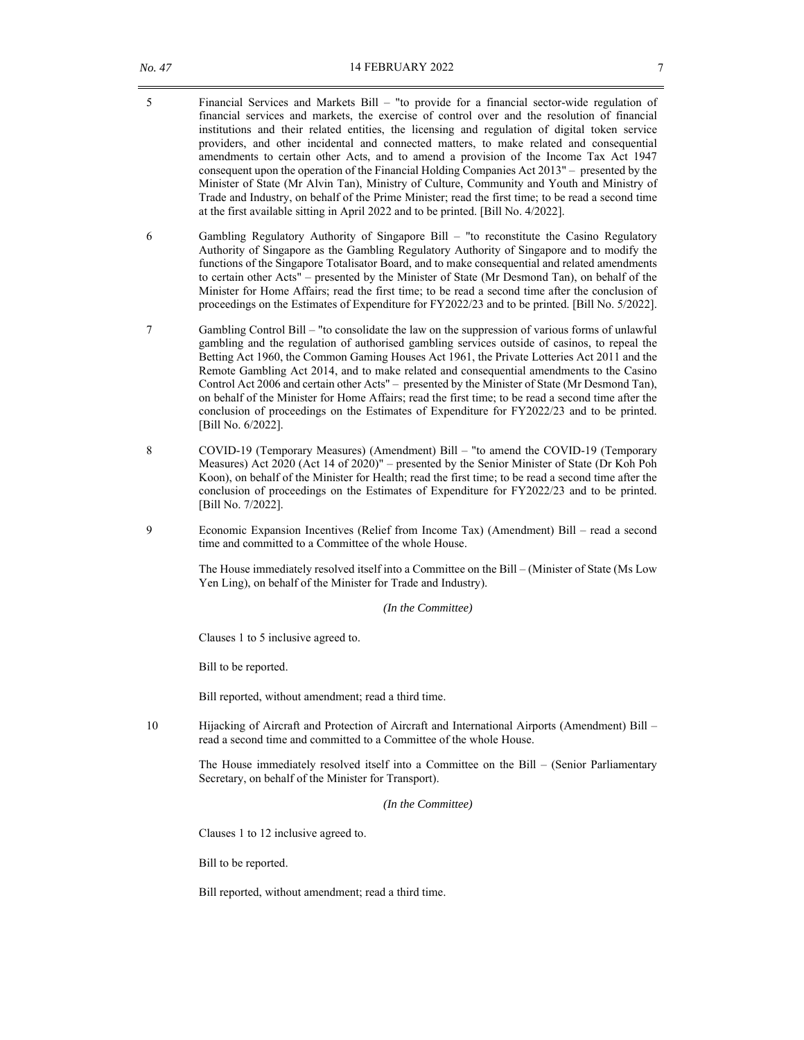- 5 Financial Services and Markets Bill "to provide for a financial sector-wide regulation of financial services and markets, the exercise of control over and the resolution of financial institutions and their related entities, the licensing and regulation of digital token service providers, and other incidental and connected matters, to make related and consequential amendments to certain other Acts, and to amend a provision of the Income Tax Act 1947 consequent upon the operation of the Financial Holding Companies Act 2013" – presented by the Minister of State (Mr Alvin Tan), Ministry of Culture, Community and Youth and Ministry of Trade and Industry, on behalf of the Prime Minister; read the first time; to be read a second time at the first available sitting in April 2022 and to be printed. [Bill No. 4/2022].
- 6 Gambling Regulatory Authority of Singapore Bill "to reconstitute the Casino Regulatory Authority of Singapore as the Gambling Regulatory Authority of Singapore and to modify the functions of the Singapore Totalisator Board, and to make consequential and related amendments to certain other Acts" – presented by the Minister of State (Mr Desmond Tan), on behalf of the Minister for Home Affairs; read the first time; to be read a second time after the conclusion of proceedings on the Estimates of Expenditure for FY2022/23 and to be printed. [Bill No. 5/2022].
- 7 Gambling Control Bill "to consolidate the law on the suppression of various forms of unlawful gambling and the regulation of authorised gambling services outside of casinos, to repeal the Betting Act 1960, the Common Gaming Houses Act 1961, the Private Lotteries Act 2011 and the Remote Gambling Act 2014, and to make related and consequential amendments to the Casino Control Act 2006 and certain other Acts" – presented by the Minister of State (Mr Desmond Tan), on behalf of the Minister for Home Affairs; read the first time; to be read a second time after the conclusion of proceedings on the Estimates of Expenditure for FY2022/23 and to be printed. [Bill No. 6/2022].
- 8 COVID-19 (Temporary Measures) (Amendment) Bill "to amend the COVID-19 (Temporary Measures) Act 2020 (Act 14 of 2020)" – presented by the Senior Minister of State (Dr Koh Poh Koon), on behalf of the Minister for Health; read the first time; to be read a second time after the conclusion of proceedings on the Estimates of Expenditure for FY2022/23 and to be printed. [Bill No. 7/2022].
- 9 Economic Expansion Incentives (Relief from Income Tax) (Amendment) Bill read a second time and committed to a Committee of the whole House.

The House immediately resolved itself into a Committee on the Bill – (Minister of State (Ms Low Yen Ling), on behalf of the Minister for Trade and Industry).

*(In the Committee)*

Clauses 1 to 5 inclusive agreed to.

Bill to be reported.

Bill reported, without amendment; read a third time.

10 Hijacking of Aircraft and Protection of Aircraft and International Airports (Amendment) Bill – read a second time and committed to a Committee of the whole House.

> The House immediately resolved itself into a Committee on the Bill – (Senior Parliamentary Secretary, on behalf of the Minister for Transport).

> > *(In the Committee)*

Clauses 1 to 12 inclusive agreed to.

Bill to be reported.

Bill reported, without amendment; read a third time.